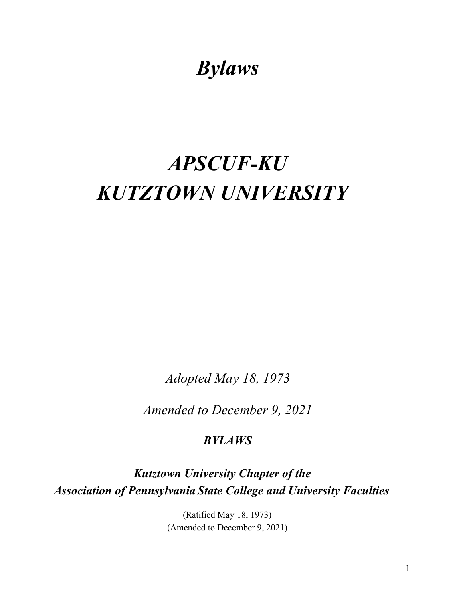## *Bylaws*

# *APSCUF-KU KUTZTOWN UNIVERSITY*

*Adopted May 18, 1973* 

*Amended to December 9, 2021*

## *BYLAWS*

*Kutztown University Chapter of the Association of Pennsylvania State College and University Faculties*

> (Ratified May 18, 1973) (Amended to December 9, 2021)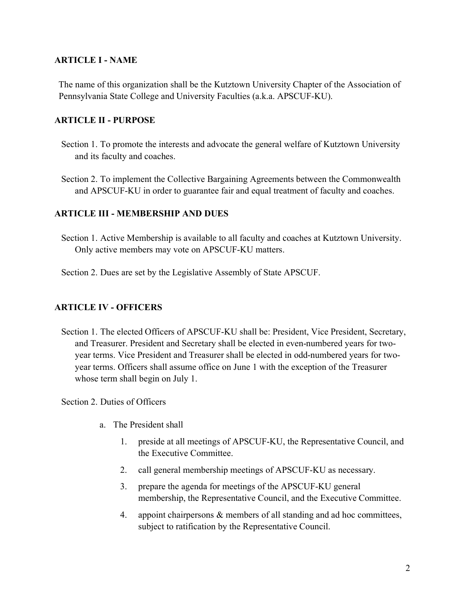#### **ARTICLE I - NAME**

The name of this organization shall be the Kutztown University Chapter of the Association of Pennsylvania State College and University Faculties (a.k.a. APSCUF-KU).

#### **ARTICLE II - PURPOSE**

- Section 1. To promote the interests and advocate the general welfare of Kutztown University and its faculty and coaches.
- Section 2. To implement the Collective Bargaining Agreements between the Commonwealth and APSCUF-KU in order to guarantee fair and equal treatment of faculty and coaches.

#### **ARTICLE III - MEMBERSHIP AND DUES**

- Section 1. Active Membership is available to all faculty and coaches at Kutztown University. Only active members may vote on APSCUF-KU matters.
- Section 2. Dues are set by the Legislative Assembly of State APSCUF.

#### **ARTICLE IV - OFFICERS**

Section 1. The elected Officers of APSCUF-KU shall be: President, Vice President, Secretary, and Treasurer. President and Secretary shall be elected in even-numbered years for twoyear terms. Vice President and Treasurer shall be elected in odd-numbered years for twoyear terms. Officers shall assume office on June 1 with the exception of the Treasurer whose term shall begin on July 1.

Section 2. Duties of Officers

- a. The President shall
	- 1. preside at all meetings of APSCUF-KU, the Representative Council, and the Executive Committee.
	- 2. call general membership meetings of APSCUF-KU as necessary.
	- 3. prepare the agenda for meetings of the APSCUF-KU general membership, the Representative Council, and the Executive Committee.
	- 4. appoint chairpersons & members of all standing and ad hoc committees, subject to ratification by the Representative Council.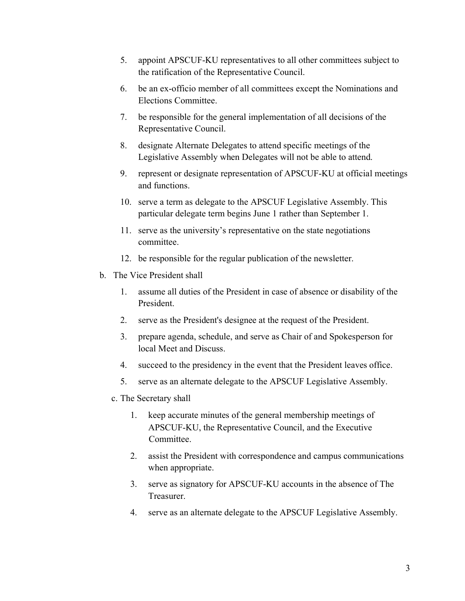- 5. appoint APSCUF-KU representatives to all other committees subject to the ratification of the Representative Council.
- 6. be an ex-officio member of all committees except the Nominations and Elections Committee.
- 7. be responsible for the general implementation of all decisions of the Representative Council.
- 8. designate Alternate Delegates to attend specific meetings of the Legislative Assembly when Delegates will not be able to attend.
- 9. represent or designate representation of APSCUF-KU at official meetings and functions.
- 10. serve a term as delegate to the APSCUF Legislative Assembly. This particular delegate term begins June 1 rather than September 1.
- 11. serve as the university's representative on the state negotiations committee.
- 12. be responsible for the regular publication of the newsletter.
- b. The Vice President shall
	- 1. assume all duties of the President in case of absence or disability of the President.
	- 2. serve as the President's designee at the request of the President.
	- 3. prepare agenda, schedule, and serve as Chair of and Spokesperson for local Meet and Discuss.
	- 4. succeed to the presidency in the event that the President leaves office.
	- 5. serve as an alternate delegate to the APSCUF Legislative Assembly.
	- c. The Secretary shall
		- 1. keep accurate minutes of the general membership meetings of APSCUF-KU, the Representative Council, and the Executive Committee.
		- 2. assist the President with correspondence and campus communications when appropriate.
		- 3. serve as signatory for APSCUF-KU accounts in the absence of The Treasurer.
		- 4. serve as an alternate delegate to the APSCUF Legislative Assembly.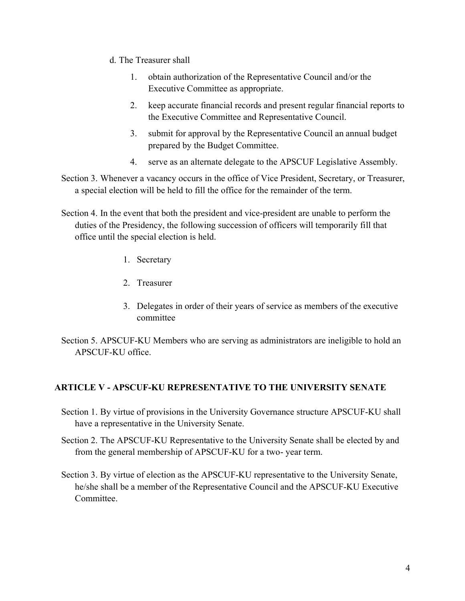- d. The Treasurer shall
	- 1. obtain authorization of the Representative Council and/or the Executive Committee as appropriate.
	- 2. keep accurate financial records and present regular financial reports to the Executive Committee and Representative Council.
	- 3. submit for approval by the Representative Council an annual budget prepared by the Budget Committee.
	- 4. serve as an alternate delegate to the APSCUF Legislative Assembly.
- Section 3. Whenever a vacancy occurs in the office of Vice President, Secretary, or Treasurer, a special election will be held to fill the office for the remainder of the term.
- Section 4. In the event that both the president and vice-president are unable to perform the duties of the Presidency, the following succession of officers will temporarily fill that office until the special election is held.
	- 1. Secretary
	- 2. Treasurer
	- 3. Delegates in order of their years of service as members of the executive committee
- Section 5. APSCUF-KU Members who are serving as administrators are ineligible to hold an APSCUF-KU office.

#### **ARTICLE V - APSCUF-KU REPRESENTATIVE TO THE UNIVERSITY SENATE**

- Section 1. By virtue of provisions in the University Governance structure APSCUF-KU shall have a representative in the University Senate.
- Section 2. The APSCUF-KU Representative to the University Senate shall be elected by and from the general membership of APSCUF-KU for a two- year term.
- Section 3. By virtue of election as the APSCUF-KU representative to the University Senate, he/she shall be a member of the Representative Council and the APSCUF-KU Executive Committee.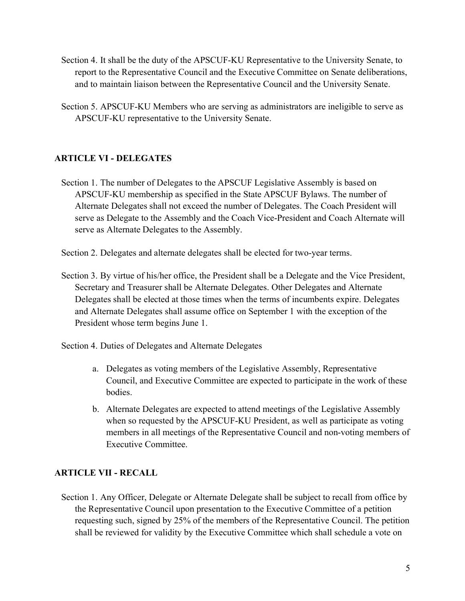- Section 4. It shall be the duty of the APSCUF-KU Representative to the University Senate, to report to the Representative Council and the Executive Committee on Senate deliberations, and to maintain liaison between the Representative Council and the University Senate.
- Section 5. APSCUF-KU Members who are serving as administrators are ineligible to serve as APSCUF-KU representative to the University Senate.

## **ARTICLE VI - DELEGATES**

Section 1. The number of Delegates to the APSCUF Legislative Assembly is based on APSCUF-KU membership as specified in the State APSCUF Bylaws. The number of Alternate Delegates shall not exceed the number of Delegates. The Coach President will serve as Delegate to the Assembly and the Coach Vice-President and Coach Alternate will serve as Alternate Delegates to the Assembly.

Section 2. Delegates and alternate delegates shall be elected for two-year terms.

Section 3. By virtue of his/her office, the President shall be a Delegate and the Vice President, Secretary and Treasurer shall be Alternate Delegates. Other Delegates and Alternate Delegates shall be elected at those times when the terms of incumbents expire. Delegates and Alternate Delegates shall assume office on September 1 with the exception of the President whose term begins June 1.

Section 4. Duties of Delegates and Alternate Delegates

- a. Delegates as voting members of the Legislative Assembly, Representative Council, and Executive Committee are expected to participate in the work of these bodies.
- b. Alternate Delegates are expected to attend meetings of the Legislative Assembly when so requested by the APSCUF-KU President, as well as participate as voting members in all meetings of the Representative Council and non-voting members of Executive Committee.

## **ARTICLE VII - RECALL**

Section 1. Any Officer, Delegate or Alternate Delegate shall be subject to recall from office by the Representative Council upon presentation to the Executive Committee of a petition requesting such, signed by 25% of the members of the Representative Council. The petition shall be reviewed for validity by the Executive Committee which shall schedule a vote on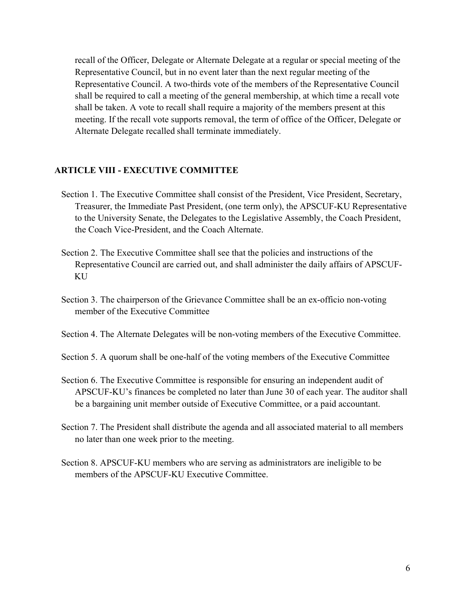recall of the Officer, Delegate or Alternate Delegate at a regular or special meeting of the Representative Council, but in no event later than the next regular meeting of the Representative Council. A two-thirds vote of the members of the Representative Council shall be required to call a meeting of the general membership, at which time a recall vote shall be taken. A vote to recall shall require a majority of the members present at this meeting. If the recall vote supports removal, the term of office of the Officer, Delegate or Alternate Delegate recalled shall terminate immediately.

#### **ARTICLE VIII - EXECUTIVE COMMITTEE**

- Section 1. The Executive Committee shall consist of the President, Vice President, Secretary, Treasurer, the Immediate Past President, (one term only), the APSCUF-KU Representative to the University Senate, the Delegates to the Legislative Assembly, the Coach President, the Coach Vice-President, and the Coach Alternate.
- Section 2. The Executive Committee shall see that the policies and instructions of the Representative Council are carried out, and shall administer the daily affairs of APSCUF-KU
- Section 3. The chairperson of the Grievance Committee shall be an ex-officio non-voting member of the Executive Committee
- Section 4. The Alternate Delegates will be non-voting members of the Executive Committee.
- Section 5. A quorum shall be one-half of the voting members of the Executive Committee
- Section 6. The Executive Committee is responsible for ensuring an independent audit of APSCUF-KU's finances be completed no later than June 30 of each year. The auditor shall be a bargaining unit member outside of Executive Committee, or a paid accountant.
- Section 7. The President shall distribute the agenda and all associated material to all members no later than one week prior to the meeting.
- Section 8. APSCUF-KU members who are serving as administrators are ineligible to be members of the APSCUF-KU Executive Committee.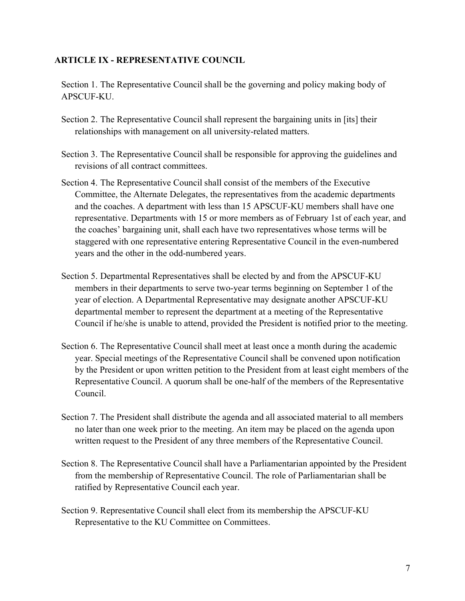#### **ARTICLE IX - REPRESENTATIVE COUNCIL**

Section 1. The Representative Council shall be the governing and policy making body of APSCUF-KU.

- Section 2. The Representative Council shall represent the bargaining units in [its] their relationships with management on all university-related matters.
- Section 3. The Representative Council shall be responsible for approving the guidelines and revisions of all contract committees.
- Section 4. The Representative Council shall consist of the members of the Executive Committee, the Alternate Delegates, the representatives from the academic departments and the coaches. A department with less than 15 APSCUF-KU members shall have one representative. Departments with 15 or more members as of February 1st of each year, and the coaches' bargaining unit, shall each have two representatives whose terms will be staggered with one representative entering Representative Council in the even-numbered years and the other in the odd-numbered years.
- Section 5. Departmental Representatives shall be elected by and from the APSCUF-KU members in their departments to serve two-year terms beginning on September 1 of the year of election. A Departmental Representative may designate another APSCUF-KU departmental member to represent the department at a meeting of the Representative Council if he/she is unable to attend, provided the President is notified prior to the meeting.
- Section 6. The Representative Council shall meet at least once a month during the academic year. Special meetings of the Representative Council shall be convened upon notification by the President or upon written petition to the President from at least eight members of the Representative Council. A quorum shall be one-half of the members of the Representative Council.
- Section 7. The President shall distribute the agenda and all associated material to all members no later than one week prior to the meeting. An item may be placed on the agenda upon written request to the President of any three members of the Representative Council.
- Section 8. The Representative Council shall have a Parliamentarian appointed by the President from the membership of Representative Council. The role of Parliamentarian shall be ratified by Representative Council each year.
- Section 9. Representative Council shall elect from its membership the APSCUF-KU Representative to the KU Committee on Committees.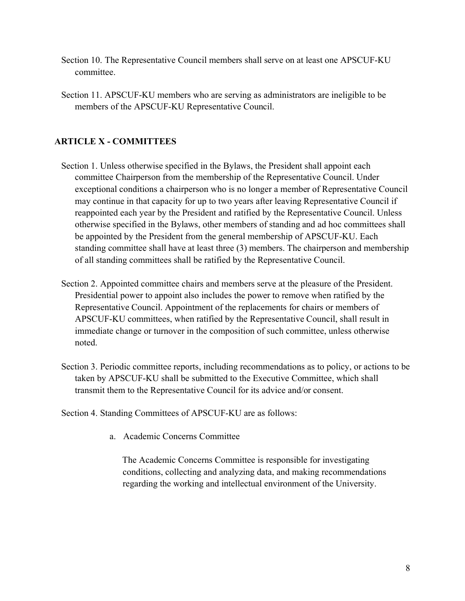- Section 10. The Representative Council members shall serve on at least one APSCUF-KU committee.
- Section 11. APSCUF-KU members who are serving as administrators are ineligible to be members of the APSCUF-KU Representative Council.

## **ARTICLE X - COMMITTEES**

- Section 1. Unless otherwise specified in the Bylaws, the President shall appoint each committee Chairperson from the membership of the Representative Council. Under exceptional conditions a chairperson who is no longer a member of Representative Council may continue in that capacity for up to two years after leaving Representative Council if reappointed each year by the President and ratified by the Representative Council. Unless otherwise specified in the Bylaws, other members of standing and ad hoc committees shall be appointed by the President from the general membership of APSCUF-KU. Each standing committee shall have at least three (3) members. The chairperson and membership of all standing committees shall be ratified by the Representative Council.
- Section 2. Appointed committee chairs and members serve at the pleasure of the President. Presidential power to appoint also includes the power to remove when ratified by the Representative Council. Appointment of the replacements for chairs or members of APSCUF-KU committees, when ratified by the Representative Council, shall result in immediate change or turnover in the composition of such committee, unless otherwise noted.
- Section 3. Periodic committee reports, including recommendations as to policy, or actions to be taken by APSCUF-KU shall be submitted to the Executive Committee, which shall transmit them to the Representative Council for its advice and/or consent.

Section 4. Standing Committees of APSCUF-KU are as follows:

a. Academic Concerns Committee

The Academic Concerns Committee is responsible for investigating conditions, collecting and analyzing data, and making recommendations regarding the working and intellectual environment of the University.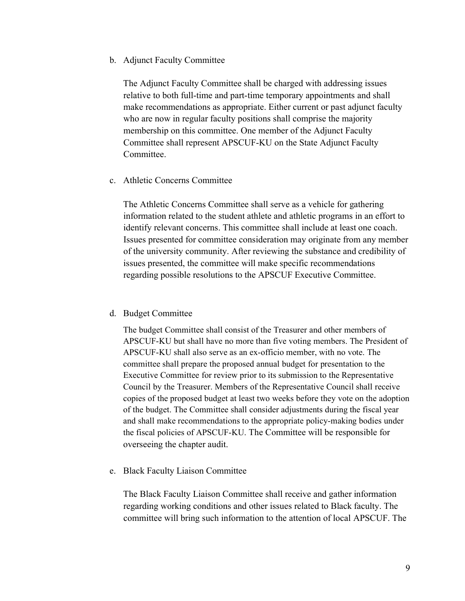#### b. Adjunct Faculty Committee

The Adjunct Faculty Committee shall be charged with addressing issues relative to both full-time and part-time temporary appointments and shall make recommendations as appropriate. Either current or past adjunct faculty who are now in regular faculty positions shall comprise the majority membership on this committee. One member of the Adjunct Faculty Committee shall represent APSCUF-KU on the State Adjunct Faculty Committee.

#### c. Athletic Concerns Committee

The Athletic Concerns Committee shall serve as a vehicle for gathering information related to the student athlete and athletic programs in an effort to identify relevant concerns. This committee shall include at least one coach. Issues presented for committee consideration may originate from any member of the university community. After reviewing the substance and credibility of issues presented, the committee will make specific recommendations regarding possible resolutions to the APSCUF Executive Committee.

#### d. Budget Committee

The budget Committee shall consist of the Treasurer and other members of APSCUF-KU but shall have no more than five voting members. The President of APSCUF-KU shall also serve as an ex-officio member, with no vote. The committee shall prepare the proposed annual budget for presentation to the Executive Committee for review prior to its submission to the Representative Council by the Treasurer. Members of the Representative Council shall receive copies of the proposed budget at least two weeks before they vote on the adoption of the budget. The Committee shall consider adjustments during the fiscal year and shall make recommendations to the appropriate policy-making bodies under the fiscal policies of APSCUF-KU. The Committee will be responsible for overseeing the chapter audit.

#### e. Black Faculty Liaison Committee

The Black Faculty Liaison Committee shall receive and gather information regarding working conditions and other issues related to Black faculty. The committee will bring such information to the attention of local APSCUF. The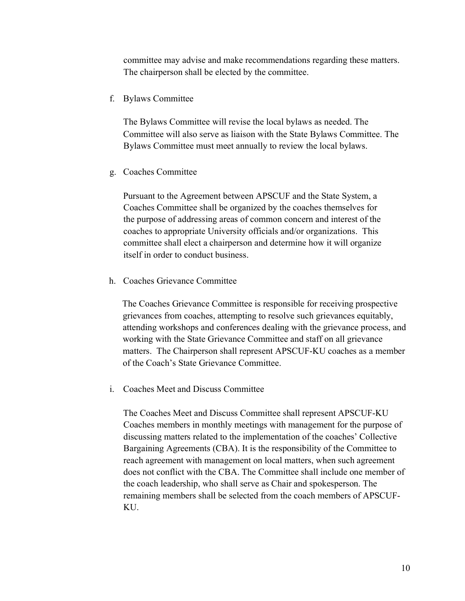committee may advise and make recommendations regarding these matters. The chairperson shall be elected by the committee.

f. Bylaws Committee

The Bylaws Committee will revise the local bylaws as needed. The Committee will also serve as liaison with the State Bylaws Committee. The Bylaws Committee must meet annually to review the local bylaws.

g. Coaches Committee

Pursuant to the Agreement between APSCUF and the State System, a Coaches Committee shall be organized by the coaches themselves for the purpose of addressing areas of common concern and interest of the coaches to appropriate University officials and/or organizations. This committee shall elect a chairperson and determine how it will organize itself in order to conduct business.

h. Coaches Grievance Committee

The Coaches Grievance Committee is responsible for receiving prospective grievances from coaches, attempting to resolve such grievances equitably, attending workshops and conferences dealing with the grievance process, and working with the State Grievance Committee and staff on all grievance matters. The Chairperson shall represent APSCUF-KU coaches as a member of the Coach's State Grievance Committee.

i. Coaches Meet and Discuss Committee

The Coaches Meet and Discuss Committee shall represent APSCUF-KU Coaches members in monthly meetings with management for the purpose of discussing matters related to the implementation of the coaches' Collective Bargaining Agreements (CBA). It is the responsibility of the Committee to reach agreement with management on local matters, when such agreement does not conflict with the CBA. The Committee shall include one member of the coach leadership, who shall serve as Chair and spokesperson. The remaining members shall be selected from the coach members of APSCUF-KU.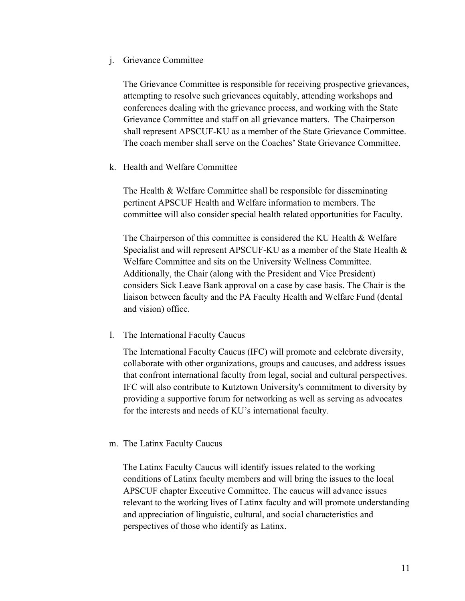#### j. Grievance Committee

The Grievance Committee is responsible for receiving prospective grievances, attempting to resolve such grievances equitably, attending workshops and conferences dealing with the grievance process, and working with the State Grievance Committee and staff on all grievance matters. The Chairperson shall represent APSCUF-KU as a member of the State Grievance Committee. The coach member shall serve on the Coaches' State Grievance Committee.

k. Health and Welfare Committee

The Health & Welfare Committee shall be responsible for disseminating pertinent APSCUF Health and Welfare information to members. The committee will also consider special health related opportunities for Faculty.

The Chairperson of this committee is considered the KU Health & Welfare Specialist and will represent APSCUF-KU as a member of the State Health & Welfare Committee and sits on the University Wellness Committee. Additionally, the Chair (along with the President and Vice President) considers Sick Leave Bank approval on a case by case basis. The Chair is the liaison between faculty and the PA Faculty Health and Welfare Fund (dental and vision) office.

l. The International Faculty Caucus

The International Faculty Caucus (IFC) will promote and celebrate diversity, collaborate with other organizations, groups and caucuses, and address issues that confront international faculty from legal, social and cultural perspectives. IFC will also contribute to Kutztown University's commitment to diversity by providing a supportive forum for networking as well as serving as advocates for the interests and needs of KU's international faculty.

#### m. The Latinx Faculty Caucus

The Latinx Faculty Caucus will identify issues related to the working conditions of Latinx faculty members and will bring the issues to the local APSCUF chapter Executive Committee. The caucus will advance issues relevant to the working lives of Latinx faculty and will promote understanding and appreciation of linguistic, cultural, and social characteristics and perspectives of those who identify as Latinx.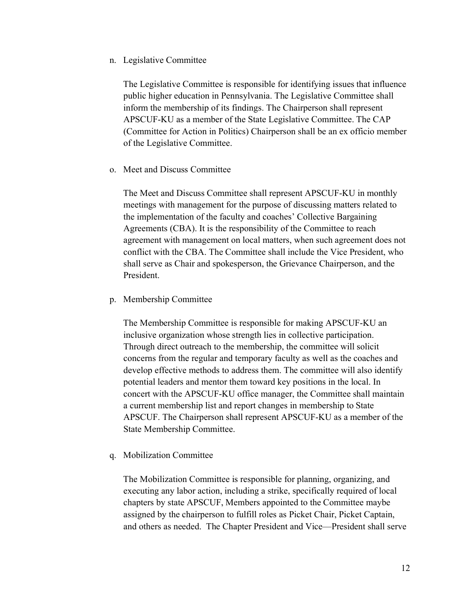n. Legislative Committee

The Legislative Committee is responsible for identifying issues that influence public higher education in Pennsylvania. The Legislative Committee shall inform the membership of its findings. The Chairperson shall represent APSCUF-KU as a member of the State Legislative Committee. The CAP (Committee for Action in Politics) Chairperson shall be an ex officio member of the Legislative Committee.

o. Meet and Discuss Committee

The Meet and Discuss Committee shall represent APSCUF-KU in monthly meetings with management for the purpose of discussing matters related to the implementation of the faculty and coaches' Collective Bargaining Agreements (CBA). It is the responsibility of the Committee to reach agreement with management on local matters, when such agreement does not conflict with the CBA. The Committee shall include the Vice President, who shall serve as Chair and spokesperson, the Grievance Chairperson, and the President.

p. Membership Committee

The Membership Committee is responsible for making APSCUF-KU an inclusive organization whose strength lies in collective participation. Through direct outreach to the membership, the committee will solicit concerns from the regular and temporary faculty as well as the coaches and develop effective methods to address them. The committee will also identify potential leaders and mentor them toward key positions in the local. In concert with the APSCUF-KU office manager, the Committee shall maintain a current membership list and report changes in membership to State APSCUF. The Chairperson shall represent APSCUF-KU as a member of the State Membership Committee.

q. Mobilization Committee

The Mobilization Committee is responsible for planning, organizing, and executing any labor action, including a strike, specifically required of local chapters by state APSCUF, Members appointed to the Committee maybe assigned by the chairperson to fulfill roles as Picket Chair, Picket Captain, and others as needed. The Chapter President and Vice—President shall serve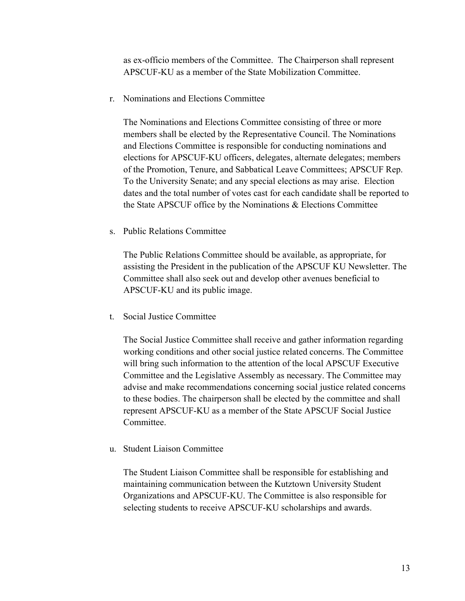as ex-officio members of the Committee. The Chairperson shall represent APSCUF-KU as a member of the State Mobilization Committee.

r. Nominations and Elections Committee

The Nominations and Elections Committee consisting of three or more members shall be elected by the Representative Council. The Nominations and Elections Committee is responsible for conducting nominations and elections for APSCUF-KU officers, delegates, alternate delegates; members of the Promotion, Tenure, and Sabbatical Leave Committees; APSCUF Rep. To the University Senate; and any special elections as may arise. Election dates and the total number of votes cast for each candidate shall be reported to the State APSCUF office by the Nominations & Elections Committee

s. Public Relations Committee

The Public Relations Committee should be available, as appropriate, for assisting the President in the publication of the APSCUF KU Newsletter. The Committee shall also seek out and develop other avenues beneficial to APSCUF-KU and its public image.

t. Social Justice Committee

The Social Justice Committee shall receive and gather information regarding working conditions and other social justice related concerns. The Committee will bring such information to the attention of the local APSCUF Executive Committee and the Legislative Assembly as necessary. The Committee may advise and make recommendations concerning social justice related concerns to these bodies. The chairperson shall be elected by the committee and shall represent APSCUF-KU as a member of the State APSCUF Social Justice Committee.

u. Student Liaison Committee

The Student Liaison Committee shall be responsible for establishing and maintaining communication between the Kutztown University Student Organizations and APSCUF-KU. The Committee is also responsible for selecting students to receive APSCUF-KU scholarships and awards.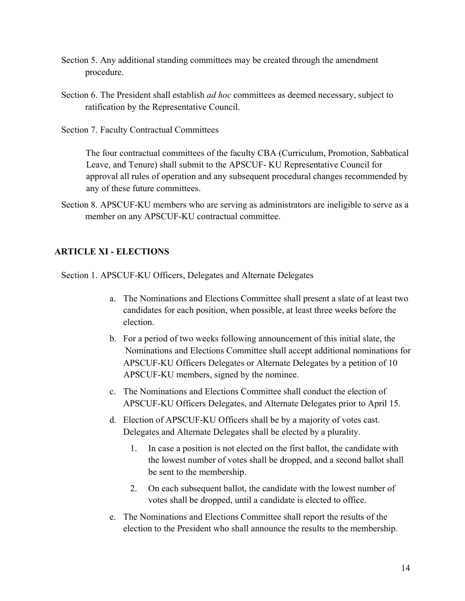- Section 5. Any additional standing committees may be created through the amendment procedure.
- Section 6. The President shall establish *ad hoc* committees as deemed necessary, subject to ratification by the Representative Council.
- Section 7. Faculty Contractual Committees

The four contractual committees of the faculty CBA (Curriculum, Promotion, Sabbatical Leave, and Tenure) shall submit to the APSCUF- KU Representative Council for approval all rules of operation and any subsequent procedural changes recommended by any of these future committees.

Section 8. APSCUF-KU members who are serving as administrators are ineligible to serve as a member on any APSCUF-KU contractual committee.

## **ARTICLE XI - ELECTIONS**

Section 1. APSCUF-KU Officers, Delegates and Alternate Delegates

- a. The Nominations and Elections Committee shall present a slate of at least two candidates for each position, when possible, at least three weeks before the election.
- b. For a period of two weeks following announcement of this initial slate, the Nominations and Elections Committee shall accept additional nominations for APSCUF-KU Officers Delegates or Alternate Delegates by a petition of 10 APSCUF-KU members, signed by the nominee.
- c. The Nominations and Elections Committee shall conduct the election of APSCUF-KU Officers Delegates, and Alternate Delegates prior to April 15.
- d. Election of APSCUF-KU Officers shall be by a majority of votes cast. Delegates and Alternate Delegates shall be elected by a plurality.
	- 1. In case a position is not elected on the first ballot, the candidate with the lowest number of votes shall be dropped, and a second ballot shall be sent to the membership.
	- 2. On each subsequent ballot, the candidate with the lowest number of votes shall be dropped, until a candidate is elected to office.
- e. The Nominations and Elections Committee shall report the results of the election to the President who shall announce the results to the membership.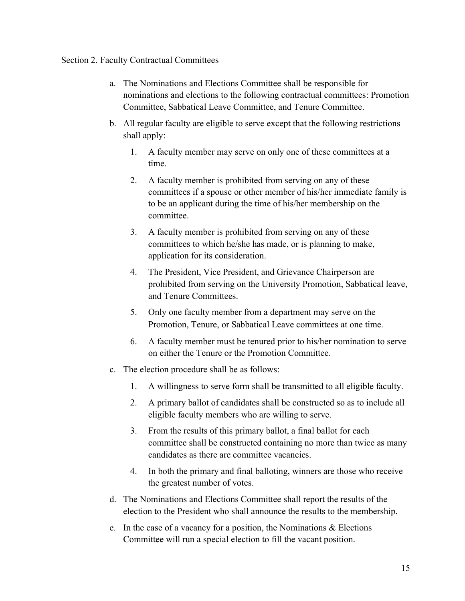#### Section 2. Faculty Contractual Committees

- a. The Nominations and Elections Committee shall be responsible for nominations and elections to the following contractual committees: Promotion Committee, Sabbatical Leave Committee, and Tenure Committee.
- b. All regular faculty are eligible to serve except that the following restrictions shall apply:
	- 1. A faculty member may serve on only one of these committees at a time.
	- 2. A faculty member is prohibited from serving on any of these committees if a spouse or other member of his/her immediate family is to be an applicant during the time of his/her membership on the committee.
	- 3. A faculty member is prohibited from serving on any of these committees to which he/she has made, or is planning to make, application for its consideration.
	- 4. The President, Vice President, and Grievance Chairperson are prohibited from serving on the University Promotion, Sabbatical leave, and Tenure Committees.
	- 5. Only one faculty member from a department may serve on the Promotion, Tenure, or Sabbatical Leave committees at one time.
	- 6. A faculty member must be tenured prior to his/her nomination to serve on either the Tenure or the Promotion Committee.
- c. The election procedure shall be as follows:
	- 1. A willingness to serve form shall be transmitted to all eligible faculty.
	- 2. A primary ballot of candidates shall be constructed so as to include all eligible faculty members who are willing to serve.
	- 3. From the results of this primary ballot, a final ballot for each committee shall be constructed containing no more than twice as many candidates as there are committee vacancies.
	- 4. In both the primary and final balloting, winners are those who receive the greatest number of votes.
- d. The Nominations and Elections Committee shall report the results of the election to the President who shall announce the results to the membership.
- e. In the case of a vacancy for a position, the Nominations & Elections Committee will run a special election to fill the vacant position.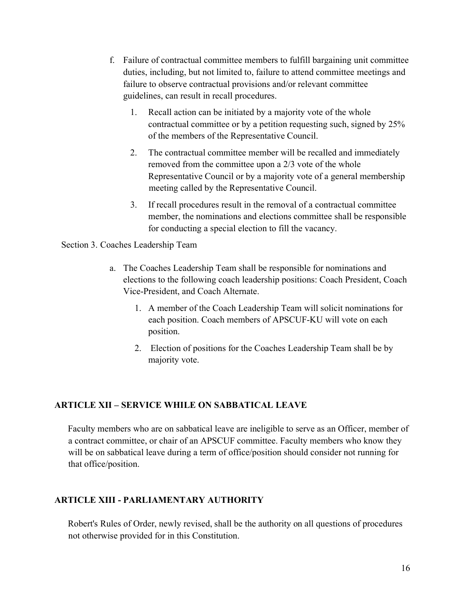- f. Failure of contractual committee members to fulfill bargaining unit committee duties, including, but not limited to, failure to attend committee meetings and failure to observe contractual provisions and/or relevant committee guidelines, can result in recall procedures.
	- 1. Recall action can be initiated by a majority vote of the whole contractual committee or by a petition requesting such, signed by 25% of the members of the Representative Council.
	- 2. The contractual committee member will be recalled and immediately removed from the committee upon a 2/3 vote of the whole Representative Council or by a majority vote of a general membership meeting called by the Representative Council.
	- 3. If recall procedures result in the removal of a contractual committee member, the nominations and elections committee shall be responsible for conducting a special election to fill the vacancy.

#### Section 3. Coaches Leadership Team

- a. The Coaches Leadership Team shall be responsible for nominations and elections to the following coach leadership positions: Coach President, Coach Vice-President, and Coach Alternate.
	- 1. A member of the Coach Leadership Team will solicit nominations for each position. Coach members of APSCUF-KU will vote on each position.
	- 2. Election of positions for the Coaches Leadership Team shall be by majority vote.

#### **ARTICLE XII – SERVICE WHILE ON SABBATICAL LEAVE**

Faculty members who are on sabbatical leave are ineligible to serve as an Officer, member of a contract committee, or chair of an APSCUF committee. Faculty members who know they will be on sabbatical leave during a term of office/position should consider not running for that office/position.

#### **ARTICLE XIII - PARLIAMENTARY AUTHORITY**

Robert's Rules of Order, newly revised, shall be the authority on all questions of procedures not otherwise provided for in this Constitution.